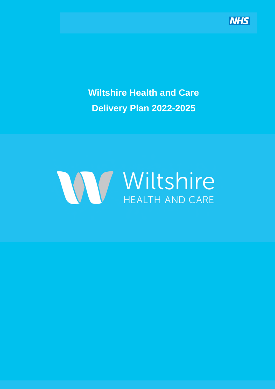

**Wiltshire Health and Care Delivery Plan 2022-2025** 

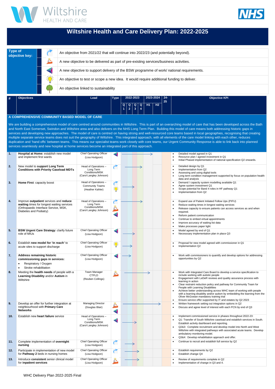WHC Delivery Plan 2022-2025 Final





# **Wiltshire Health and Care Delivery Plan: 2022-2025**

| Type of<br>objective key: | An objective from 2021/22 that will continue into 2022/23 (and potentially beyond).       |
|---------------------------|-------------------------------------------------------------------------------------------|
|                           | A new objective to be delivered as part of pre-existing services/business activities.     |
|                           | A new objective to support delivery of the BSW programme of work/ national requirements.  |
|                           | An objective to test or scope a new idea. It would require additional funding to deliver. |
|                           | An objective linked to sustainability                                                     |

| $\vert$ # | Objectives <sup>1</sup> | Lead | <b>Type</b> | 2022-2023 |  | $2023 - 2024$ 24- |  | 25 | <b>Objective KPI</b> |  |
|-----------|-------------------------|------|-------------|-----------|--|-------------------|--|----|----------------------|--|
|           |                         |      |             |           |  |                   |  |    |                      |  |
|           |                         |      |             |           |  |                   |  |    |                      |  |
|           |                         |      |             |           |  |                   |  |    |                      |  |

#### **A COMPREHENSIVE COMMUNITY BASED MODEL OF CARE**

We are building a comprehensive model of care centred around communities in Wiltshire. This is part of an overarching model of care that has been developed across the Bath and North East Somerset, Swindon and Wiltshire area and also delivers on the NHS Long Term Plan. Building this model of care means both addressing historic gaps in services and developing new approaches. The model of care is centred on having strong and well-resourced core teams based in local geographies, recognising that creating multiple separate service teams does not suit the geography of Wiltshire. This integrated approach, with all elements of the care model linking with each other, reduces duplication and 'hand offs' between teams. This means our specialist teams work closely with core teams, our Urgent Community Response is able to link back into planned services seamlessly and new hospital at home services become an integrated part of this approach.

| 1.  | Hospital at Home: establish new model<br>and implement first wards                                                                                     | <b>Chief Operating Officer</b><br>(Lisa Hodgson)                               |                      |  | Detailed model agreed in Q1<br>Resource plan / agreed investment in Q1<br>Initial Phased implementation of national specification Q2 onwards.                                                                                                                                                                                                                                                                                                                                                                                                                                       |
|-----|--------------------------------------------------------------------------------------------------------------------------------------------------------|--------------------------------------------------------------------------------|----------------------|--|-------------------------------------------------------------------------------------------------------------------------------------------------------------------------------------------------------------------------------------------------------------------------------------------------------------------------------------------------------------------------------------------------------------------------------------------------------------------------------------------------------------------------------------------------------------------------------------|
| 2.  | New model to support Long Term<br><b>Conditions with Priority Caseload MDTs</b>                                                                        | Head of Operations -<br>Long Term<br>Conditions/MSK<br>(Carol Langley Johnson) |                      |  | Detailed design by Q1<br>Implementation from Q2<br>Assessing and using digital tools<br>Long term condition management supported by focus on population health<br>data and analysis                                                                                                                                                                                                                                                                                                                                                                                                 |
| 3.  | Home First: capacity boost                                                                                                                             | Head of Operations -<br><b>Community Teams</b><br>(Heather Kahler)             | 漛                    |  | Demand / capacity system modelling available Q1<br>Agree system investment Q1<br>Scope potential for Band 4 roles in HF pathway Q1<br>Implementation from Q2                                                                                                                                                                                                                                                                                                                                                                                                                        |
| 4.  | Improve outpatient services and reduce<br>waiting times for longest waiting services<br>(Orthopaedic Interface Service, MSK,<br>Diabetes and Podiatry) | Head of Operations -<br>Long Term<br>Conditions/MSK<br>(Carol Langley Johnson) |                      |  | Expand use of Patient Initiated Follow Ups (PIFU)<br>Reduce waiting times in longest waiting services<br>Release capacity to ensure patients can access services as and when<br>required.<br>Reform patient communication<br>Continue to embed virtual appointments<br>Improve accuracy of waiting list data<br>Make processes paper light                                                                                                                                                                                                                                          |
| 5.  | <b>BSW Urgent Care Strategy: clarify future</b><br>role of MIUs                                                                                        | Chief Operating Officer<br>(Lisa Hodgson)                                      | $\blacktriangleleft$ |  | Model agreed by end of Q1<br>Necesssary implementation plan in place Q3                                                                                                                                                                                                                                                                                                                                                                                                                                                                                                             |
| 6.  | Establish new model for 'in reach' to<br>acute sites to support discharge                                                                              | <b>Chief Operating Officer</b><br>(Lisa Hodgson)                               | 誉                    |  | Proposal for new model agreed with commissioner in Q1<br>Implementation Q2                                                                                                                                                                                                                                                                                                                                                                                                                                                                                                          |
| 7.  | <b>Address remaining historic</b><br>commissioning gaps in services:<br>Respiratory / Oxygen<br>Stroke rehabilitation                                  | <b>Chief Operating Officer</b><br>(Lisa Hodgson)                               | $\blacktriangleleft$ |  | Work with commissioners to quantify and develop options for addressing<br>opportunities by Q2                                                                                                                                                                                                                                                                                                                                                                                                                                                                                       |
| 8.  | Meeting the health needs of people with a<br>Learning Disability and/or Autism in<br>Wiltshire                                                         | <b>Team Manager</b><br><b>CTPLD</b><br>(Reuben Collings)                       |                      |  | Work with Integrated Care Board to develop a service specification to<br>include working with autistic people<br>Engagement with LeDeR reviews and quality assurance process with<br>learning in action<br>Clear restraint reduction policy and pathway for Community Team for<br>People with Learning Disabilities<br>Achieve better understanding across WHC team of working with people<br>with a learning disability and/or autism by embedding the learning from the<br>Oliver McGowan mandatory training trial<br>Ensure service offer supported by IT and estates by Q2 2023 |
| 9.  | Develop an offer for further integration at<br>neighbourhood with Primary Care<br><b>Networks</b>                                                      | <b>Managing Director</b><br>(Douglas Blair)                                    |                      |  | Written framework setting out integration options in Q2<br>Discuss and agree level of interest with each PCN by end of Q3                                                                                                                                                                                                                                                                                                                                                                                                                                                           |
| 10. | Establish new heart failure service                                                                                                                    | Head of Operations -<br>Long Term<br>Conditions/MSK<br>(Carol Langley Johnson) | $\blacktriangleleft$ |  | Implement commissioned service in phases throughout 2022-23:<br>Q1: Transfer of South Wiltshire caseload and establish services in South.<br>Establish activity dashboard and reporting.<br>Q2&3: Complete recruitment and develop model into North and West<br>Wiltshire with integrated pathways with associated acute teams. Develop<br>ambulatory monitoring model.<br>Q3&4: Develop rehabilitation approach and offer.                                                                                                                                                         |
| 11. | Complete implementation of overnight<br>nursing                                                                                                        | <b>Chief Operating Officer</b><br>(Lisa Hodgson)                               |                      |  | Continue to recruit and establish full service by Q2                                                                                                                                                                                                                                                                                                                                                                                                                                                                                                                                |
| 12. | Participate in implementation of new model<br>for Pathway 2 beds in nursing homes                                                                      | <b>Chief Operating Officer</b><br>(Lisa Hodgson)                               |                      |  | Establish requirements by Q2<br>Establish change Q4                                                                                                                                                                                                                                                                                                                                                                                                                                                                                                                                 |
| 13. | Introduce consistent senior clinical model<br>for inpatient services                                                                                   | <b>Chief Operating Officer</b><br>(Lisa Hodgson)                               |                      |  | Review of requirements complete in Q2<br>Implementation of change in Q3 and 4.                                                                                                                                                                                                                                                                                                                                                                                                                                                                                                      |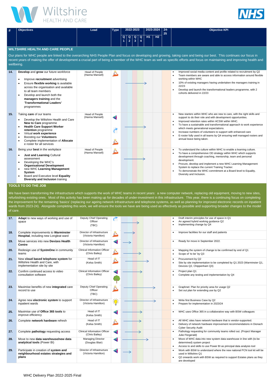WHC Delivery Plan 2022-2025 Final





| #   | <b>Objectives</b>                                                                                                                                                                                                                                                                                                                                                                                                  | 2023-2024<br><b>Type</b><br>2022-2023<br>Lead |  |                               | $24 -$<br>25 | <b>Objective KPI</b>                                      |                               |    |                |  |                                                                                                                                                                                                                                                                                                                                                                                                                                                                                         |  |  |
|-----|--------------------------------------------------------------------------------------------------------------------------------------------------------------------------------------------------------------------------------------------------------------------------------------------------------------------------------------------------------------------------------------------------------------------|-----------------------------------------------|--|-------------------------------|--------------|-----------------------------------------------------------|-------------------------------|----|----------------|--|-----------------------------------------------------------------------------------------------------------------------------------------------------------------------------------------------------------------------------------------------------------------------------------------------------------------------------------------------------------------------------------------------------------------------------------------------------------------------------------------|--|--|
|     |                                                                                                                                                                                                                                                                                                                                                                                                                    |                                               |  | $\mathbf Q$<br>$\overline{1}$ |              | $\begin{array}{c c}\n\hline\nQ & Q \\ 2 & 3\n\end{array}$ | $\mathbf Q$<br>$\overline{4}$ | H1 | H <sub>2</sub> |  |                                                                                                                                                                                                                                                                                                                                                                                                                                                                                         |  |  |
|     | <b>WILTSHIRE HEALTH AND CARE PEOPLE</b><br>Our plans for WHC people are linked to the overarching NHS People Plan and focus on developing and growing, taking care and being our best. This continues our focus in<br>recent years of making the offer of development a crucial part of being a member of the WHC team as well as specific efforts and focus on maintaining and improving health and<br>wellbeing. |                                               |  |                               |              |                                                           |                               |    |                |  |                                                                                                                                                                                                                                                                                                                                                                                                                                                                                         |  |  |
| 14. | Develop and grow our future workforce<br>Improve recruitment advertising<br>$\bullet$<br>Ensure flexible working is available<br>across the organisation and available<br>to all team members<br>Develop and launch both the<br>$\bullet$<br>managers training and the<br>'Transformational Leaders'<br>programmes                                                                                                 | Head of People<br>(Hanna Mansell)             |  |                               |              |                                                           |                               |    |                |  | Improved social media content and profile related to recruitment by Q2<br>Team members are aware and able to access information around flexible<br>working within WHC<br>10% of existing managers having undertaken the managers training in<br>22/23<br>Develop and launch the transformational leaders programme, with 2<br>cohorts delivered in 22/23                                                                                                                                |  |  |
| 15. | Taking care of our teams<br>Develop the Wiltshire Health and Care<br>New to Care programme<br><b>Health Care Support Worker</b><br>retention programme<br>Virtual work experience<br>$\bullet$<br><b>Boosting our Volunteers</b><br>Complete implementation of Allocate<br>e roster for all services                                                                                                               | Head of People<br>(Hanna Mansell)             |  |                               |              |                                                           |                               |    |                |  | New starters within WHC who are new to care, with the right skills and<br>support to do their role and with development opportunities.<br>Improved retention rates within HCSW within WHC.<br>To have a sustainable and transformational approach to work experience<br>which meets generational expectations.<br>Increase numbers of volunteers to support with enhanced care<br>E-roster fully used in all teams by Q4 ensuring well managed rosters and<br>annual leave being taken. |  |  |
| 16. | Being your best in the workplace<br><b>Just and Learning Cultural</b><br>assessment<br>Developing the WHC's<br><b>Organisational Development</b><br>new WHC Learning Management<br><b>System</b><br>Board and Executive level Equality<br>Diversity and Inclusion training                                                                                                                                         | Head of People<br>(Hanna Mansell)             |  |                               |              |                                                           |                               |    |                |  | To understand the culture within WHC to enable a learning culture.<br>To have a comprehensive OD strategy within WHC which supports<br>development through coaching, mentorship, team and personal<br>development.<br>Procure, develop and implement a new WHC Learning Management<br>System to replace the current Training Tracker.<br>To demonstrate the WHC commitment at a Board level to Equality,<br>Diversity and Inclusion.                                                    |  |  |

We have been transforming the infrastructure which supports the work of WHC teams in recent years: a new computer network, replacing old equipment, moving to new sites, refurbishing existing ones. Most of this activity has been making up for decades of under-investment in this infrastructure. This year, there is a continuing focus on completing the improvement for the remaining 'basics' (replacing our ageing network infrastructure and telephone systems, as well as planning for improved electronic records on inpatient wards from 2023-24). Alongside completing this work, we will ensure the tools we have are being used as effectively as possible and supporting broader changes to the model of care.

## **TOOLS TO DO THE JOB**

| 17. | Adapt to new ways of working and use of<br>space                                                       | Deputy Chief Operating<br>Officer<br>(TBC)            |                      |  |  |  | Draft interim principles for use of space in Q1<br>An agreed hybrid working guidance Q2<br>Implementing change by Q4                                                                      |
|-----|--------------------------------------------------------------------------------------------------------|-------------------------------------------------------|----------------------|--|--|--|-------------------------------------------------------------------------------------------------------------------------------------------------------------------------------------------|
| 18. | Complete improvements to Warminster<br>Hospital, including new Longleat ward                           | Director of Infrastructure<br>(Victoria Hamilton)     |                      |  |  |  | Improve facilities for our staff and patients                                                                                                                                             |
| 19. | Move services into new Devizes Health<br><b>Centre</b>                                                 | Director of Infrastructure<br>(Victoria Hamilton)     |                      |  |  |  | Ready for move in September 2022.                                                                                                                                                         |
| 20. | Redesign use of SystmOne in community<br>teams                                                         | <b>Clinical Information Officer</b><br>(Chris Bailey) |                      |  |  |  | Mapping the system of change to be confirmed by end of Q1<br>Scope of 'to be' by Q3                                                                                                       |
| 21. | New cloud based telephone system for<br>Wiltshire Health and Care, with<br>implementation site by site | Head of IT<br>(Kelsa Smith)                           |                      |  |  |  | Procurement by Q2<br>Site by site implementation to be completed by Q1 2023 (Warminster Q1,<br>Devizes Q2, Chippenham Q3)                                                                 |
| 22. | Confirm continued access to video<br>consultation software                                             | <b>Clinical Information Officer</b><br>(Chris Bailey) |                      |  |  |  | Project plan Q1<br>Complete any testing and implementation by Q4                                                                                                                          |
| 23. | Maximise benefits of new integrated care<br>record to use                                              | Deputy Chief Operating<br>Officer<br>(TBC)            |                      |  |  |  | Graphnet: Plan for priority area for usage Q2<br>Set out plan for extending use by Q2                                                                                                     |
| 24. | Agree new electronic system to support<br>inpatient wards                                              | Director of Infrastructure<br>(Victoria Hamilton)     | 誉                    |  |  |  | Write first Business Case by Q2<br>Prepare for implementation in 2023/24                                                                                                                  |
| 25. | Maximise use of Office 365 tools to<br>improve efficiency                                              | Head of IT<br>(Kelsa Smith)                           |                      |  |  |  | WHC uses Office 365 in a collaborative way with BSW colleagues                                                                                                                            |
| 26. | Complete network hardware refresh                                                                      | Head of IT<br>(Kelsa Smith)                           | è.                   |  |  |  | All WHC sites have network hardware that is vendor-supported.<br>Delivery of network hardware improvement recommendations in Dionach<br><b>Cyber Security Audit</b>                       |
| 27. | Complete pathology requesting access                                                                   | <b>Clinical Information Officer</b><br>(Chris Bailey) | $\blacktriangleleft$ |  |  |  | Pathology requesting for community teams rolled out. (Project Manager<br>Julie Fitzgerald)                                                                                                |
| 28. | Move to new data warehouse/new data<br>analytical tools (Power BI)                                     | <b>Managing Director</b><br>(Douglas Blair)           | $\blacktriangleleft$ |  |  |  | Move of WHC data into new system data warehouse in line with (to be<br>determined) system project<br>Access to and skills to use Power BI as principal data analysis tool                 |
| 29. | Participate in creation of system and<br>neighbourhood estates strategies and<br>plans                 | Director of Infrastructure<br>(Victoria Hamilton)     | $\blacktriangleleft$ |  |  |  | Work with BSW to understand where the new national PCN tool kit will be<br>used in Wiltshire Q1<br>Q2 onwards work with BSW as required to support Estates plans as they<br>are developed |